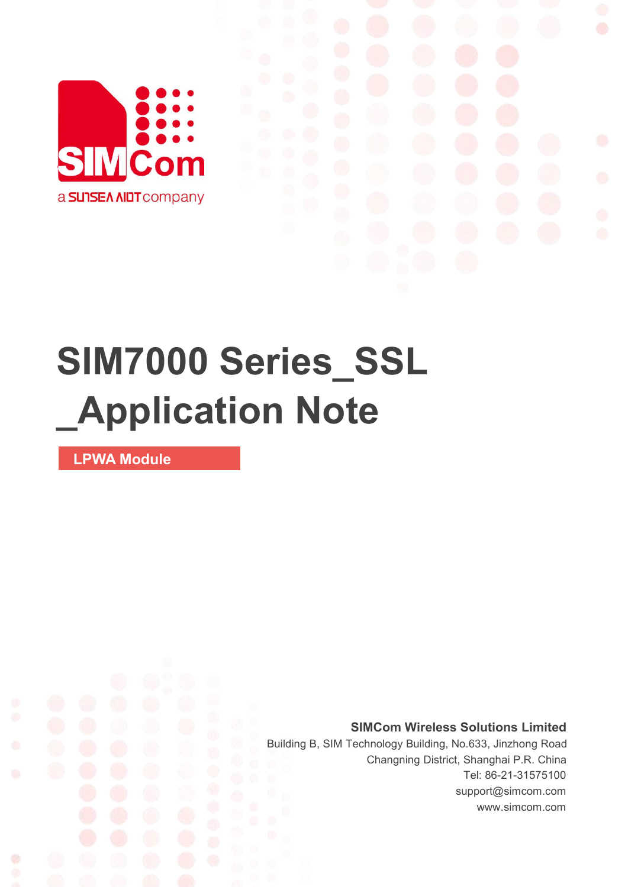

# **SIM7000 Series\_SSL \_Application Note**

**LPWA Module**

Ø

**SIMCom Wireless Solutions Limited**

Building B, SIM Technology Building, No.633, Jinzhong Road Changning District, Shanghai P.R. China Tel: 86-21-31575100 support@simcom.com www.simcom.com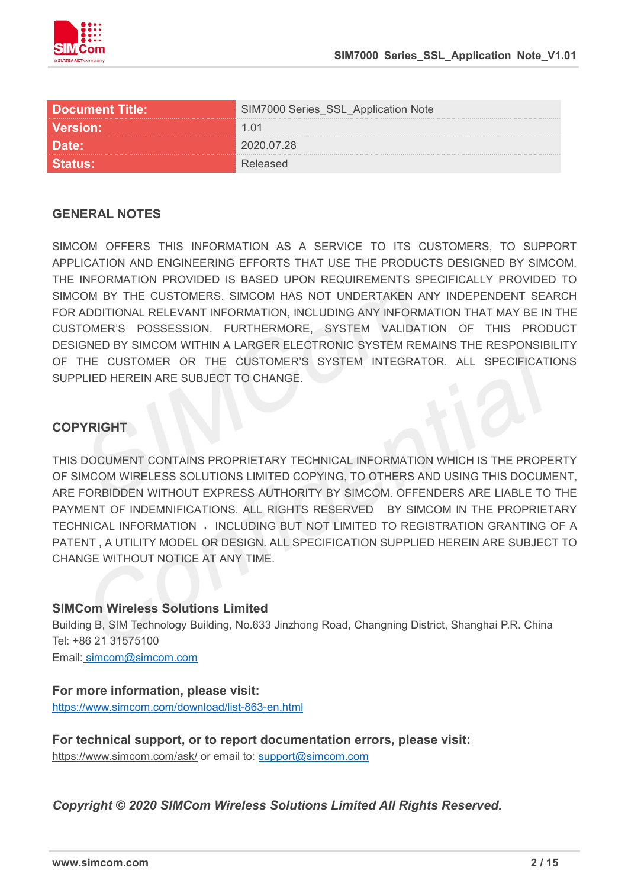

| <b>Document Title:</b> | Series_SSL_Application Note |
|------------------------|-----------------------------|
| <b>Version:</b>        |                             |
| Date:                  | <u>በ2በ በ7 28</u>            |
|                        |                             |

#### **GENERAL NOTES**

SIMCOM OFFERS THIS INFORMATION AS A SERVICE TO ITS CUSTOMERS. TO SUPPORT APPLICATION AND ENGINEERING EFFORTS THAT USE THE PRODUCTS DESIGNED BY SIMCOM. THE INFORMATION PROVIDED IS BASED UPON REQUIREMENTS SPECIFICALLY PROVIDED TO SIMCOM BY THE CUSTOMERS. SIMCOM HAS NOT UNDERTAKEN ANY INDEPENDENT SEARCH FOR ADDITIONAL RELEVANT INFORMATION, INCLUDING ANY INFORMATION THAT MAY BE IN THE CUSTOMER'S POSSESSION. FURTHERMORE, SYSTEM VALIDATION OF THIS PRODUCT DESIGNED BY SIMCOM WITHIN A LARGER ELECTRONIC SYSTEM REMAINS THE RESPONSIBILITY OF THE CUSTOMER OR THE CUSTOMER'S SYSTEM INTEGRATOR. ALL SPECIFICATIONS SUPPLIED HEREIN ARE SUBJECT TO CHANGE.

#### **COPYRIGHT**

THIS DOCUMENT CONTAINS PROPRIETARY TECHNICAL INFORMATION WHICH IS THE PROPERTY OF SIMCOM WIRELESS SOLUTIONS LIMITED COPYING, TO OTHERS AND USING THIS DOCUMENT, ARE FORBIDDEN WITHOUT EXPRESS AUTHORITY BY SIMCOM. OFFENDERS ARE LIABLE TO THE PAYMENT OF INDEMNIFICATIONS. ALL RIGHTS RESERVED BY SIMCOM IN THE PROPRIETARY TECHNICAL INFORMATION , INCLUDING BUT NOT LIMITED TO REGISTRATION GRANTING OF A PATENT , A UTILITY MODEL OR DESIGN. ALL SPECIFICATION SUPPLIED HEREIN ARE SUBJECT TO CHANGE WITHOUT NOTICE AT ANY TIME.

#### **SIMCom Wireless Solutions Limited**

Building B, SIM Technology Building, No.633 Jinzhong Road, Changning District, Shanghai P.R. China Tel: +86 21 31575100

Email: [simcom@simcom.com](mailto:simcom@simcom.com)

#### **For more information, please visit:**

<https://www.simcom.com/download/list-863-en.html>

**For technical support, or to report documentation errors, please visit:** https://www.simcom.com/ask/ or email to: [support@simcom.com](mailto:support@simcom.com)

*Copyright © 2020 SIMCom Wireless Solutions Limited All Rights Reserved.*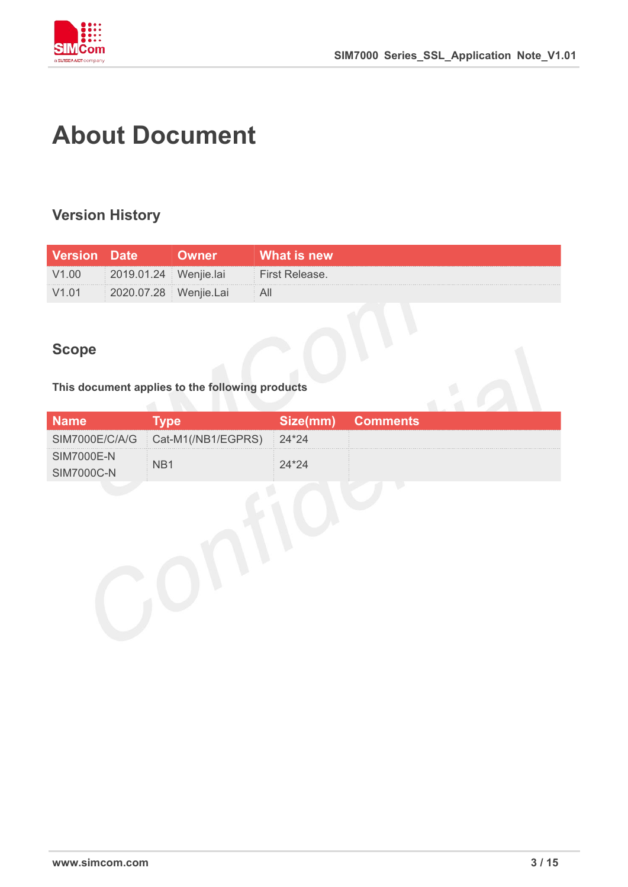

# **About Document**

## **Version History**

| <b>Version Date</b> |                         | Owner | What is new    |
|---------------------|-------------------------|-------|----------------|
| V1.00               | 2019.01.24   Wenjie.lai |       | First Release. |
| V1.01               | 2020.07.28   Wenjie.Lai |       | ∴ All          |

### **Scope**

#### **This document applies to the following products**

|             |                                         | Size(mm) Comments |
|-------------|-----------------------------------------|-------------------|
|             | SIM7000E/C/A/G Cat-M1(/NB1/EGPRS) 24*24 |                   |
| SIM7000E-N- |                                         |                   |
| SIM7000C-N  |                                         |                   |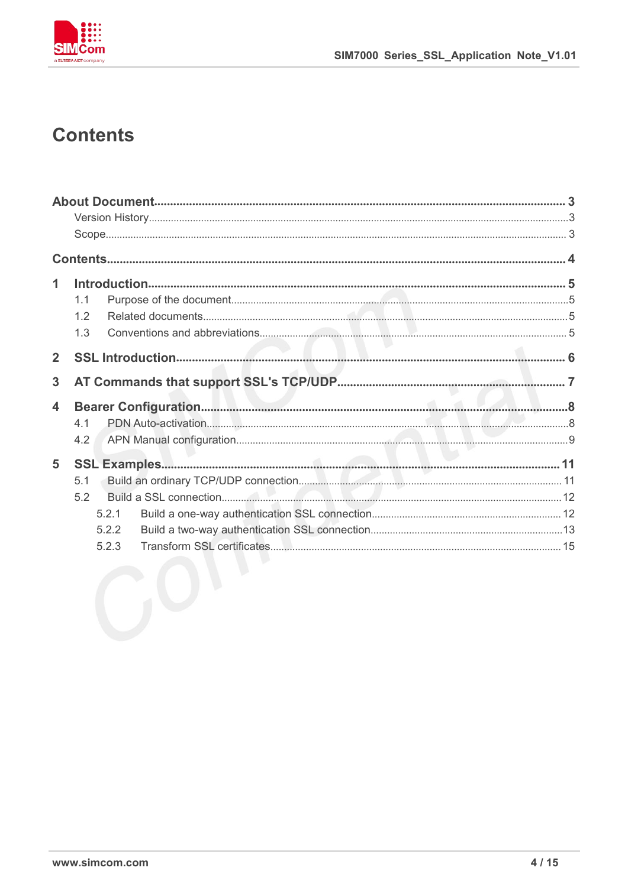

# **Contents**

| 1<br>1.1<br>1.2<br>1.3<br>$\overline{2}$<br>3<br>4<br>4.1<br>4.2<br>5<br>5.1<br>5.2<br>5.2.1<br>5.2.2 |  |
|-------------------------------------------------------------------------------------------------------|--|
|                                                                                                       |  |
|                                                                                                       |  |
|                                                                                                       |  |
|                                                                                                       |  |
|                                                                                                       |  |
|                                                                                                       |  |
|                                                                                                       |  |
|                                                                                                       |  |
|                                                                                                       |  |
|                                                                                                       |  |
|                                                                                                       |  |
|                                                                                                       |  |
|                                                                                                       |  |
|                                                                                                       |  |
|                                                                                                       |  |
|                                                                                                       |  |
|                                                                                                       |  |
| 5.2.3                                                                                                 |  |
|                                                                                                       |  |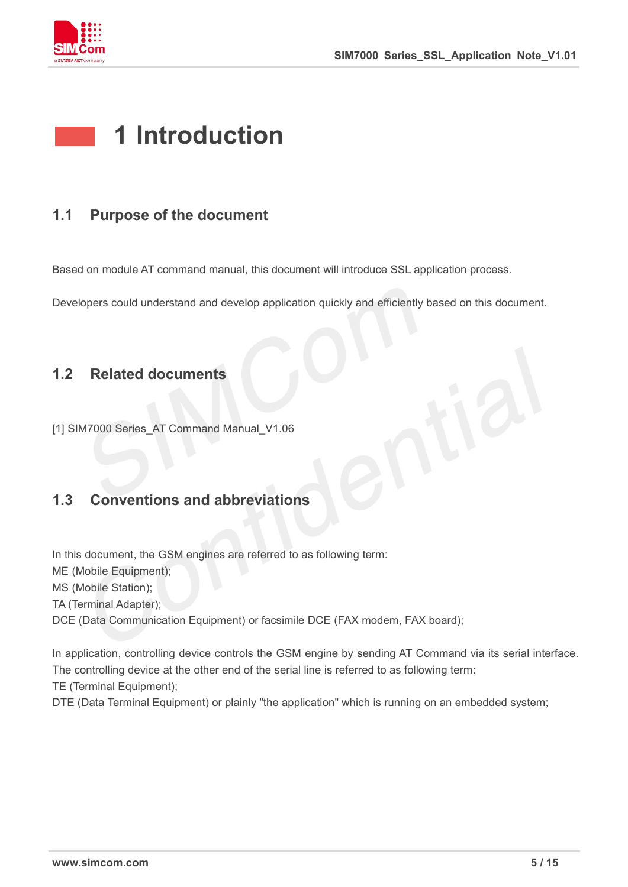

# **1 Introduction**

### **1.1 Purpose of the document**

Based on module AT command manual, this document will introduce SSL application process.

Developers could understand and develop application quickly and efficiently based on this document.

#### **1.2 Related documents**

[1] SIM7000 Series AT Command Manual V1.06

## **1.3 Conventions and abbreviations**

In this document, the GSM engines are referred to as following term: ME (Mobile Equipment); MS (Mobile Station); TA (Terminal Adapter); DCE (Data Communication Equipment) or facsimile DCE (FAX modem, FAX board);

In application, controlling device controls the GSM engine by sending AT Command via its serial interface. The controlling device at the other end of the serial line is referred to as following term:

TE (Terminal Equipment);

DTE (Data Terminal Equipment) or plainly "the application" which is running on an embedded system;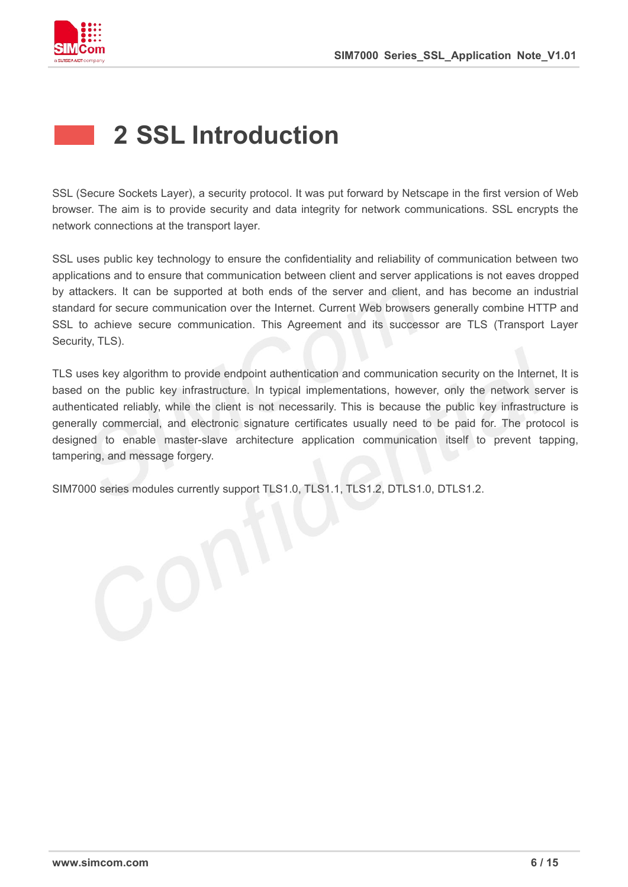

# **2 SSL Introduction**

SSL (Secure Sockets Layer), a security protocol. It was put forward by Netscape in the first version of Web browser. The aim is to provide security and data integrity for network communications. SSL encrypts the network connections at the transport layer.

SSL uses public key technology to ensure the confidentiality and reliability of communication between two applications and to ensure that communication between client and server applications is not eaves dropped by attackers. It can be supported at both ends of the server and client, and has become an industrial standard for secure communication over the Internet. Current Web browsers generally combine HTTP and SSL to achieve secure communication. This Agreement and its successor are TLS (Transport Layer Security, TLS).

TLS uses key algorithm to provide endpoint authentication and communication security on the Internet, It is based on the public key infrastructure. In typical implementations, however, only the network server is authenticated reliably, while the client is not necessarily. This is because the public key infrastructure is generally commercial, and electronic signature certificates usually need to be paid for. The protocol is designed to enable master-slave architecture application communication itself to prevent tapping, tampering, and message forgery.

SIM7000 series modules currently support TLS1.0, TLS1.1, TLS1.2, DTLS1.0, DTLS1.2.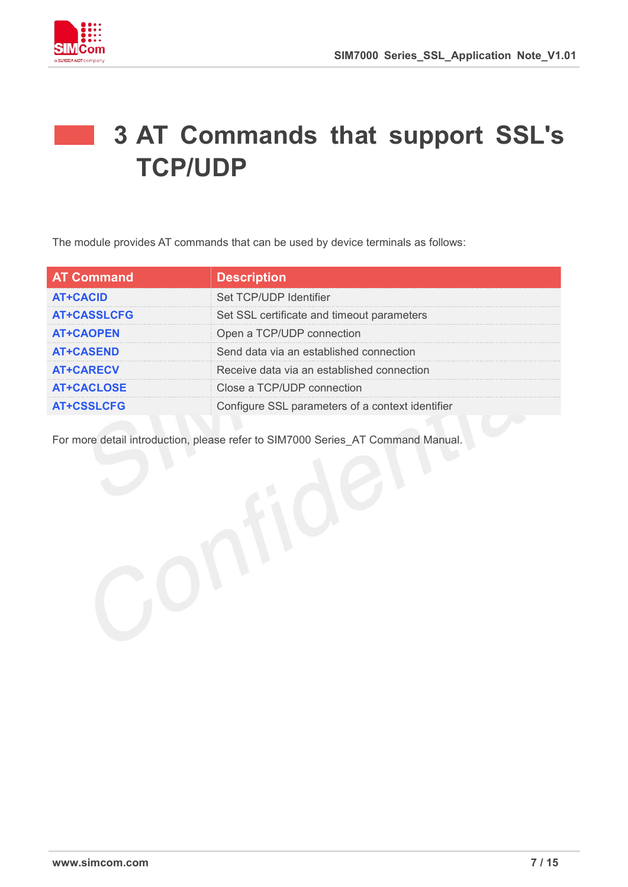

# **3 AT Commands that support SSL's TCP/UDP**

The module provides AT commands that can be used by device terminals as follows:

| <b>AT Command</b>  | <b>Description</b>                               |
|--------------------|--------------------------------------------------|
| <b>AT+CACID</b>    | Set TCP/UDP Identifier                           |
| <b>AT+CASSLCFG</b> | Set SSL certificate and timeout parameters       |
| <b>AT+CAOPEN</b>   | Open a TCP/UDP connection                        |
| <b>AT+CASEND</b>   | Send data via an established connection          |
| <b>AT+CARECV</b>   | Receive data via an established connection       |
| <b>AT+CACLOSE</b>  | Close a TCP/UDP connection                       |
| <b>AT+CSSLCFG</b>  | Configure SSL parameters of a context identifier |

For more detail introduction, please refer to SIM7000 Series\_AT Command Manual.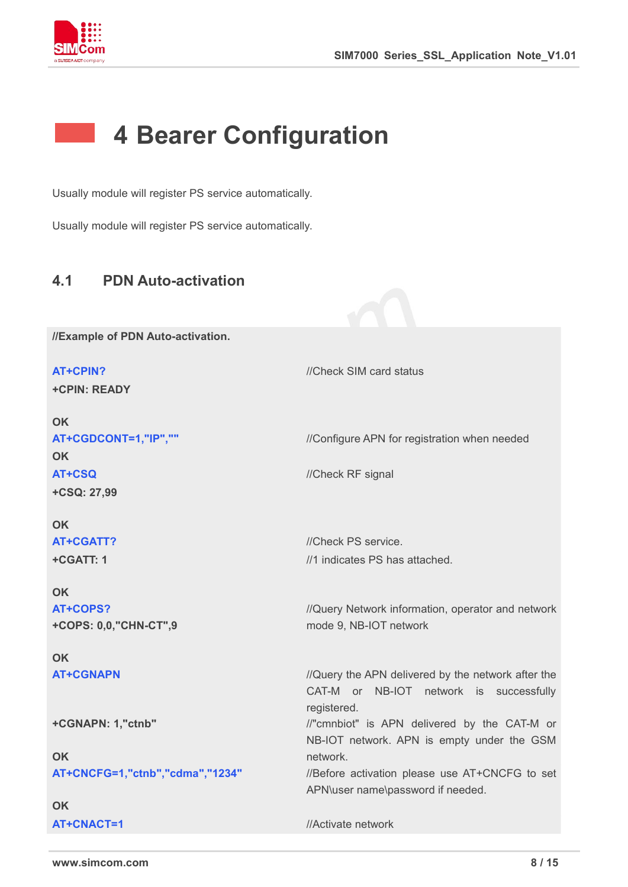

# **4 Bearer Configuration**

Usually module will register PS service automatically.

Usually module will register PS service automatically.

### **4.1 PDN Auto-activation**

**//Example of PDN Auto-activation.**

**AT+CPIN?** *//Check SIM card status* **+CPIN: READY OK AT+CGDCONT=1,"IP",""** ///Configure APN for registration when needed **OK AT+CSQ** //Check RF signal **+CSQ: 27,99 OK AT+CGATT?** //Check PS service. **+CGATT: 1 OK** //1 indicates PS has attached. **AT+COPS? +COPS: 0,0,"CHN-CT",9 OK** //Query Network information, operator and network mode 9, NB-IOT network **AT+CGNAPN** *//Query the APN delivered by the network after the* CAT-M or NB-IOT network is successfully registered. **+CGNAPN: 1,"ctnb" OK** //"cmnbiot" is APN delivered by the CAT-M or NB-IOT network. APN is empty under the GSM network. **AT+CNCFG=1,"ctnb","cdma","1234"** //Before activation please use AT+CNCFG to set APN\user name\password if needed. **OK AT+CNACT=1** //Activate network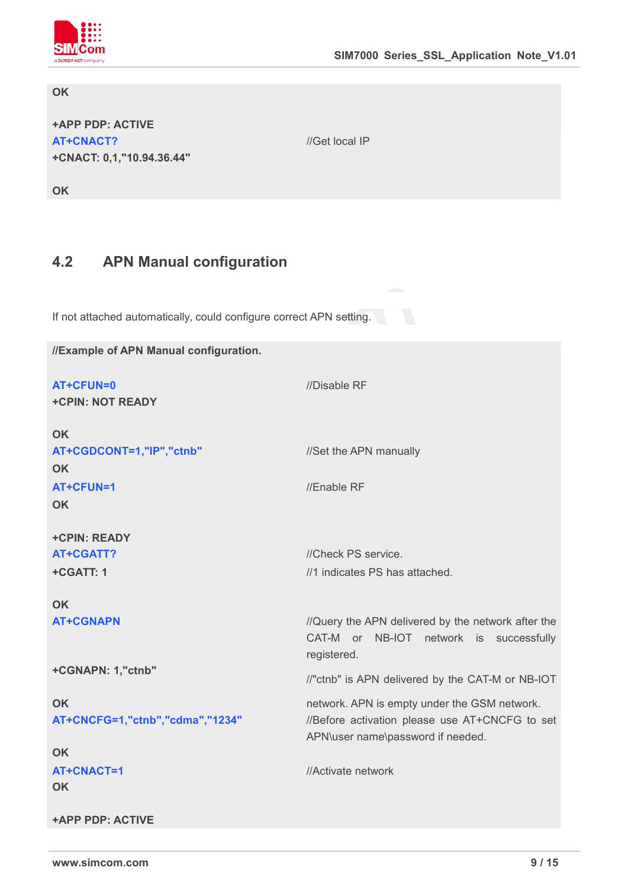

#### **OK**

**+APP PDP: ACTIVE AT+CNACT? +CNACT: 0,1,"10.94.36.44"**

**OK**

### **4.2 APN Manual configuration**

If not attached automatically, could configure correct APN setting.

**//Example of APN Manual configuration. AT+CFUN=0** //Disable RF **+CPIN: NOT READY OK** AT+CGDCONT=1,"IP","ctnb" //Set the APN manually **OK AT+CFUN=1** //Enable RF **OK +CPIN: READY AT+CGATT?** //Check PS service. **+CGATT: 1 OK** //1 indicates PS has attached. **AT+CGNAPN** *//Query the APN delivered by the network after the* CAT-M or NB-IOT network is successfully registered. **+CGNAPN: 1,"ctnb" OK** //"ctnb" is APN delivered by the CAT-M or NB-IOT network. APN is empty under the GSM network. **AT+CNCFG=1,"ctnb","cdma","1234"** //Before activation please use AT+CNCFG to set APN\user name\password if needed. **OK AT+CNACT=1 OK +APP PDP: ACTIVE** //Activate network

//Get local IP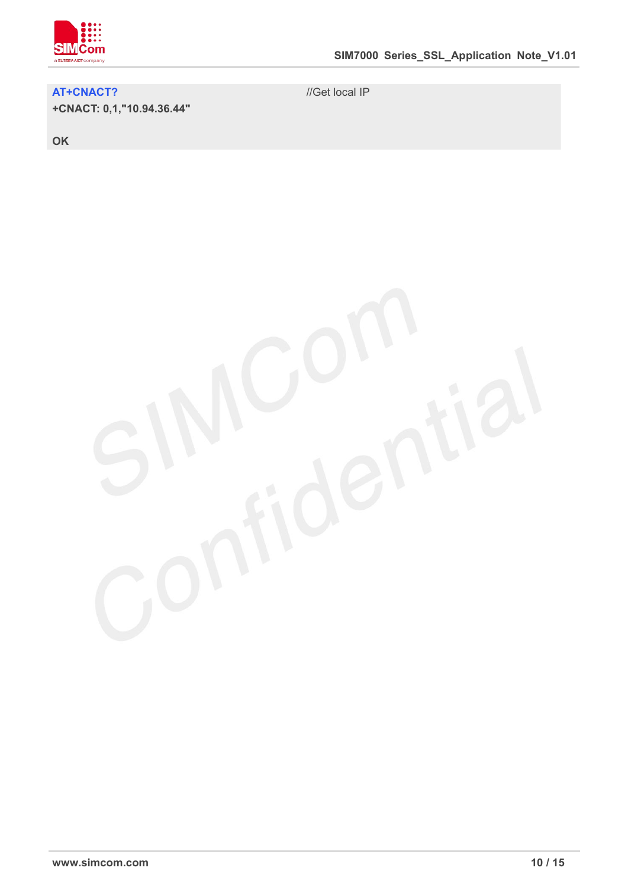

#### **AT+CNACT?**

**+CNACT: 0,1,"10.94.36.44"**

//Get local IP



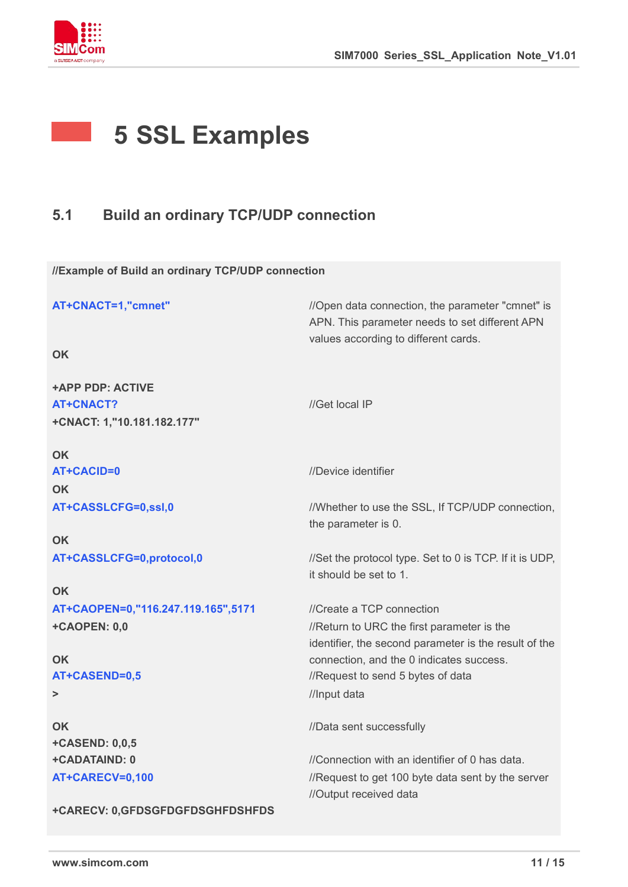

# **5 SSL Examples**

# **5.1 Build an ordinary TCP/UDP connection**

**//Example of Build an ordinary TCP/UDP connection**

| AT+CNACT=1,"cmnet"                 | //Open data connection, the parameter "cmnet" is<br>APN. This parameter needs to set different APN<br>values according to different cards. |  |
|------------------------------------|--------------------------------------------------------------------------------------------------------------------------------------------|--|
| <b>OK</b>                          |                                                                                                                                            |  |
| <b>+APP PDP: ACTIVE</b>            |                                                                                                                                            |  |
| <b>AT+CNACT?</b>                   | //Get local IP                                                                                                                             |  |
| +CNACT: 1,"10.181.182.177"         |                                                                                                                                            |  |
| <b>OK</b>                          |                                                                                                                                            |  |
| <b>AT+CACID=0</b>                  | //Device identifier                                                                                                                        |  |
| <b>OK</b>                          |                                                                                                                                            |  |
| AT+CASSLCFG=0,ssl,0                | //Whether to use the SSL, If TCP/UDP connection,                                                                                           |  |
|                                    | the parameter is 0.                                                                                                                        |  |
| <b>OK</b>                          |                                                                                                                                            |  |
| AT+CASSLCFG=0,protocol,0           | //Set the protocol type. Set to 0 is TCP. If it is UDP,<br>it should be set to 1.                                                          |  |
| <b>OK</b>                          |                                                                                                                                            |  |
| AT+CAOPEN=0,"116.247.119.165",5171 | //Create a TCP connection                                                                                                                  |  |
| +CAOPEN: 0,0                       | //Return to URC the first parameter is the<br>identifier, the second parameter is the result of the                                        |  |
| <b>OK</b>                          | connection, and the 0 indicates success.                                                                                                   |  |
| AT+CASEND=0,5                      | //Request to send 5 bytes of data                                                                                                          |  |
| $\, > \,$                          | //Input data                                                                                                                               |  |
| <b>OK</b>                          | //Data sent successfully                                                                                                                   |  |
| +CASEND: 0,0,5                     |                                                                                                                                            |  |
| +CADATAIND: 0                      | //Connection with an identifier of 0 has data.                                                                                             |  |
| AT+CARECV=0,100                    | //Request to get 100 byte data sent by the server<br>//Output received data                                                                |  |
| +CARECV: 0,GFDSGFDGFDSGHFDSHFDS    |                                                                                                                                            |  |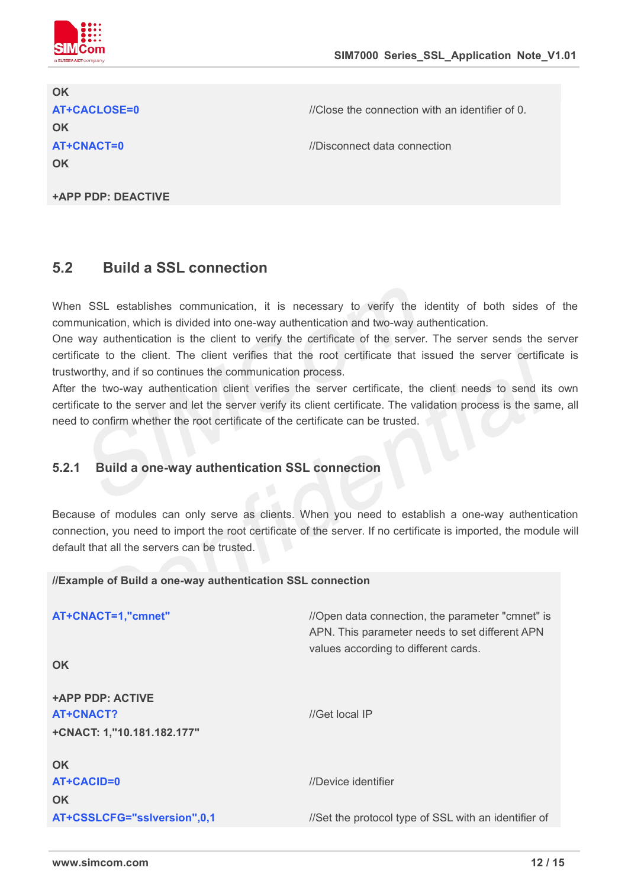

# **OK AT+CACLOSE=0** //Close the connection with an identifier of 0. **OK AT+CNACT=0** //Disconnect data connection **OK**

**+APP PDP: DEACTIVE**

### **5.2 Build a SSL connection**

When SSL establishes communication, it is necessary to verify the identity of both sides of the communication, which isdivided into one-way authentication and two-way authentication.

One way authentication is the client to verify the certificate of the server. The server sends the server certificate to the client. The client verifies that the root certificate that issued the server certificate is trustworthy, and if so continues the communication process.

After the two-way authentication client verifies the server certificate, the client needs to send its own certificate to the server and let the server verify its client certificate. The validation process is the same, all need to confirm whether the root certificate of the certificate can be trusted.

#### **5.2.1 Build a one-way authentication SSL connection**

Because of modules can only serve as clients. When you need to establish a one-way authentication connection, you need to import the root certificate of the server. If no certificate is imported, the module will default that all the servers can be trusted.

#### **//Example of Build a one-way authentication SSL connection**

| AT+CNACT=1,"cmnet"                                          | //Open data connection, the parameter "cmnet" is<br>APN. This parameter needs to set different APN |  |
|-------------------------------------------------------------|----------------------------------------------------------------------------------------------------|--|
| <b>OK</b>                                                   | values according to different cards.                                                               |  |
| +APP PDP: ACTIVE<br>AT+CNACT?<br>+CNACT: 1,"10.181.182.177" | //Get local IP                                                                                     |  |
| <b>OK</b><br>AT+CACID=0<br><b>OK</b>                        | //Device identifier                                                                                |  |
| AT+CSSLCFG="sslversion",0,1                                 | //Set the protocol type of SSL with an identifier of                                               |  |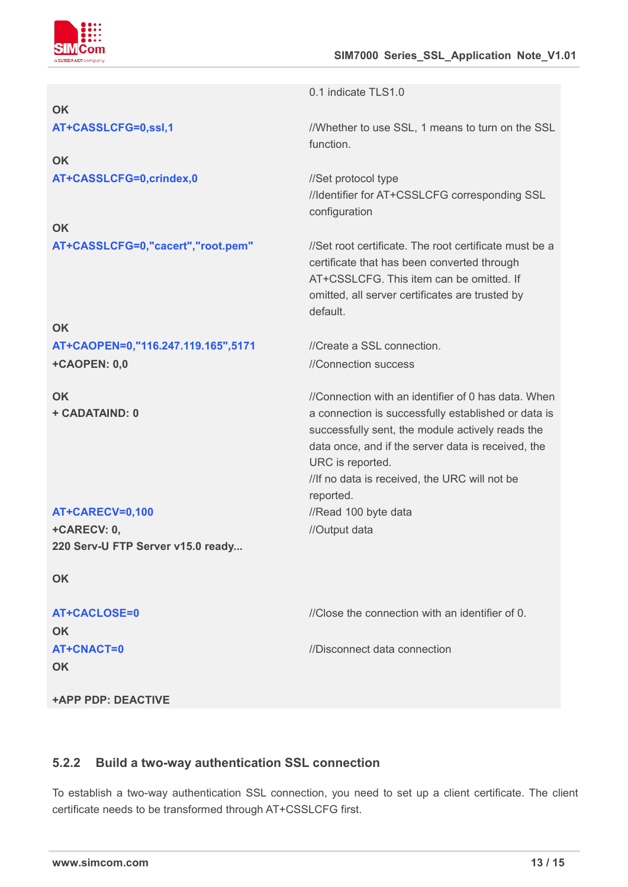

//Identifier for AT+CSSLCFG corresponding SSL

certificate that has been converted through AT+CSSLCFG. This item can be omitted. If omitted, all server certificates are trusted by

//Connection with an identifier of 0 has data. When a connection is successfully established or data is successfully sent, the module actively reads the data once, and if the server data is received, the

//If no data is received, the URC will not be

0.1 indicate TLS1.0

function.

configuration

default.

//Connection success

URC is reported.

reported.

//Output data

| OK                  |                                                  |
|---------------------|--------------------------------------------------|
| AT+CASSLCFG=0,ssl,1 | //Whether to use SSL, 1 means to turn on the SSL |

**OK** AT+CASSLCFG=0,crindex,0 //Set protocol type

**OK AT+CASSLCFG=0,"cacert","root.pem"** //Set root certificate. The root certificate must be a

#### **OK**

**AT+CAOPEN=0,"116.247.119.165",5171** //Create a SSL connection. **+CAOPEN: 0,0**

**OK + CADATAIND: 0**

**AT+CARECV=0,100** //Read 100 byte data **+CARECV: 0,220 Serv-U FTP Server v15.0 ready...**

**OK**

| AT+CACLOSE=0 | //Close the connection with an identifier of 0. |
|--------------|-------------------------------------------------|
| <b>OK</b>    |                                                 |
| AT+CNACT=0   | //Disconnect data connection                    |
| OK           |                                                 |
|              |                                                 |

**+APP PDP: DEACTIVE**

#### **5.2.2 Build a two-way authentication SSL connection**

To establish a two-way authentication SSL connection, you need to set up a client certificate. The client certificate needs to be transformed through AT+CSSLCFG first.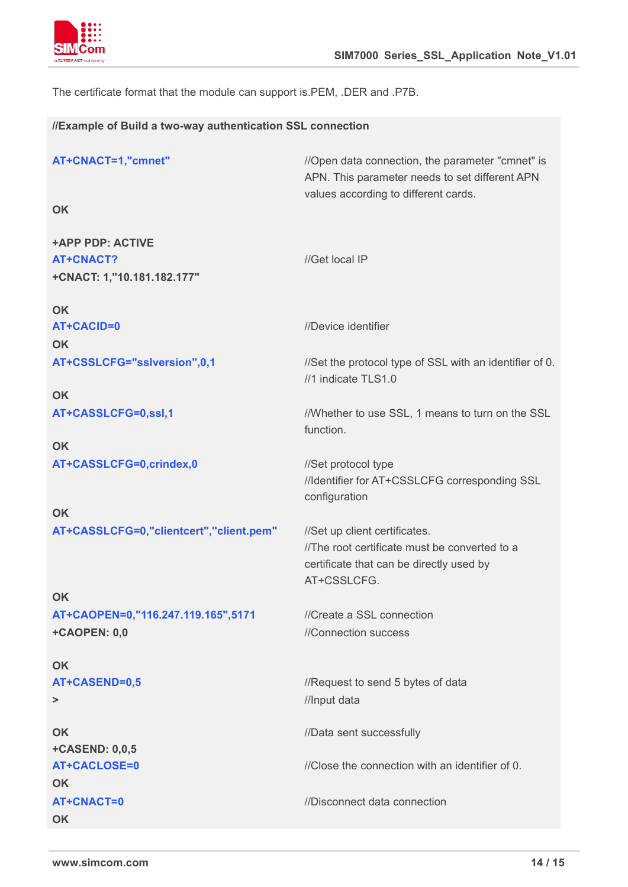

The certificate format that the module can support is.PEM, .DER and .P7B.

#### **//Example of Build a two-way authentication SSL connection**

| AT+CNACT=1,"cmnet"                      | //Open data connection, the parameter "cmnet" is<br>APN. This parameter needs to set different APN<br>values according to different cards. |  |
|-----------------------------------------|--------------------------------------------------------------------------------------------------------------------------------------------|--|
| <b>OK</b>                               |                                                                                                                                            |  |
| <b>+APP PDP: ACTIVE</b>                 |                                                                                                                                            |  |
| <b>AT+CNACT?</b>                        | //Get local IP                                                                                                                             |  |
| +CNACT: 1,"10.181.182.177"              |                                                                                                                                            |  |
| OK                                      |                                                                                                                                            |  |
| <b>AT+CACID=0</b>                       | //Device identifier                                                                                                                        |  |
| <b>OK</b>                               |                                                                                                                                            |  |
| AT+CSSLCFG="sslversion",0,1             | //Set the protocol type of SSL with an identifier of 0.<br>//1 indicate TLS1.0                                                             |  |
| <b>OK</b>                               |                                                                                                                                            |  |
| AT+CASSLCFG=0,ssl,1                     | //Whether to use SSL, 1 means to turn on the SSL<br>function.                                                                              |  |
| <b>OK</b>                               |                                                                                                                                            |  |
| AT+CASSLCFG=0,crindex,0                 | //Set protocol type<br>//Identifier for AT+CSSLCFG corresponding SSL<br>configuration                                                      |  |
| <b>OK</b>                               |                                                                                                                                            |  |
| AT+CASSLCFG=0,"clientcert","client.pem" | //Set up client certificates.                                                                                                              |  |
|                                         | //The root certificate must be converted to a                                                                                              |  |
|                                         | certificate that can be directly used by                                                                                                   |  |
|                                         | AT+CSSLCFG.                                                                                                                                |  |
| <b>OK</b>                               |                                                                                                                                            |  |
| AT+CAOPEN=0,"116.247.119.165",5171      | //Create a SSL connection                                                                                                                  |  |
| +CAOPEN: 0,0                            | //Connection success                                                                                                                       |  |
| <b>OK</b>                               |                                                                                                                                            |  |
| AT+CASEND=0,5                           | //Request to send 5 bytes of data                                                                                                          |  |
| >                                       | //Input data                                                                                                                               |  |
|                                         |                                                                                                                                            |  |
| <b>OK</b>                               | //Data sent successfully                                                                                                                   |  |
| +CASEND: 0,0,5                          |                                                                                                                                            |  |
| <b>AT+CACLOSE=0</b>                     | //Close the connection with an identifier of 0.                                                                                            |  |
| <b>OK</b>                               |                                                                                                                                            |  |
| AT+CNACT=0                              | //Disconnect data connection                                                                                                               |  |
| <b>OK</b>                               |                                                                                                                                            |  |